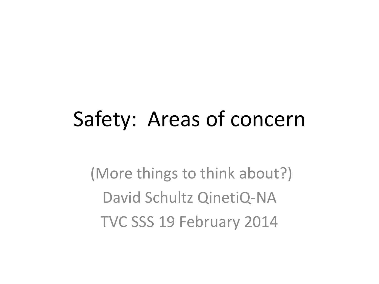#### Safety: Areas of concern

(More things to think about?) David Schultz QinetiQ-NA TVC SSS 19 February 2014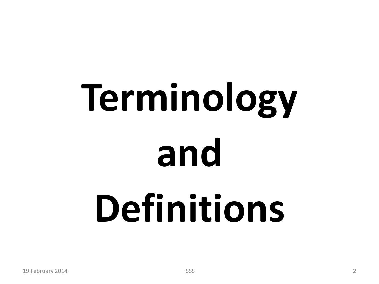## **Terminology and Definitions**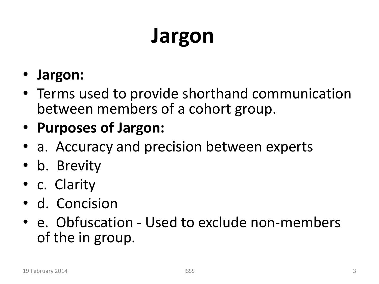#### **Jargon**

- **Jargon:**
- Terms used to provide shorthand communication between members of a cohort group.
- **Purposes of Jargon:**
- a. Accuracy and precision between experts
- b. Brevity
- c. Clarity
- d. Concision
- e. Obfuscation Used to exclude non-members of the in group.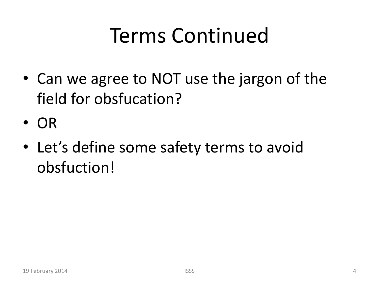#### Terms Continued

- Can we agree to NOT use the jargon of the field for obsfucation?
- OR
- Let's define some safety terms to avoid obsfuction!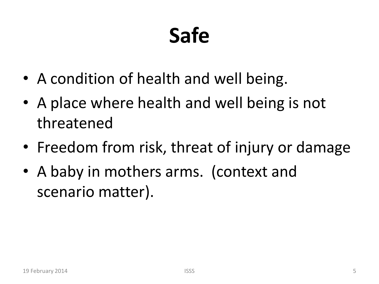#### **Safe**

- A condition of health and well being.
- A place where health and well being is not threatened
- Freedom from risk, threat of injury or damage
- A baby in mothers arms. (context and scenario matter).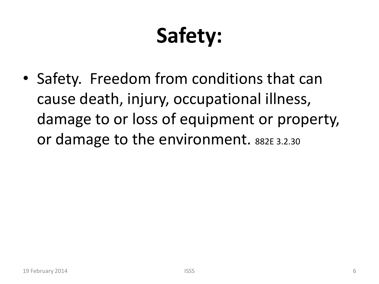### **Safety:**

• Safety. Freedom from conditions that can cause death, injury, occupational illness, damage to or loss of equipment or property, or damage to the environment. 882E 3.2.30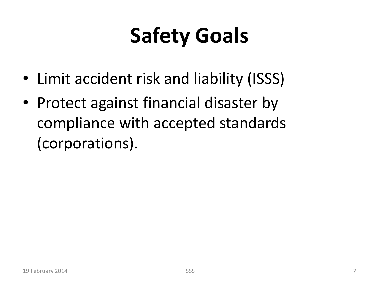#### **Safety Goals**

- Limit accident risk and liability (ISSS)
- Protect against financial disaster by compliance with accepted standards (corporations).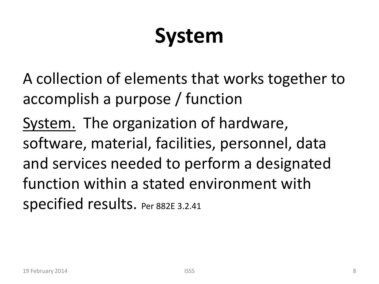#### **System**

A collection of elements that works together to accomplish a purpose / function

System. The organization of hardware, software, material, facilities, personnel, data and services needed to perform a designated function within a stated environment with specified results. Per 882E 3.2.41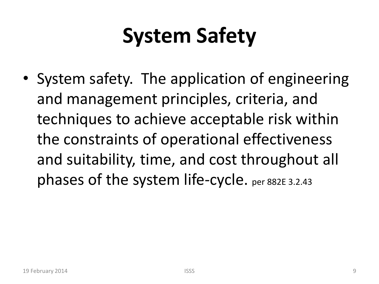#### **System Safety**

• System safety. The application of engineering and management principles, criteria, and techniques to achieve acceptable risk within the constraints of operational effectiveness and suitability, time, and cost throughout all phases of the system life-cycle. per 882E 3.2.43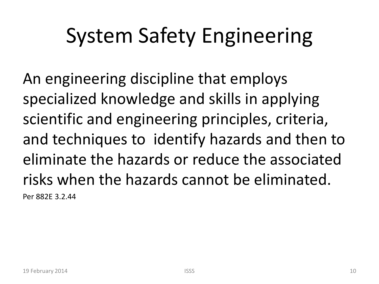#### System Safety Engineering

An engineering discipline that employs specialized knowledge and skills in applying scientific and engineering principles, criteria, and techniques to identify hazards and then to eliminate the hazards or reduce the associated risks when the hazards cannot be eliminated. Per 882E 3.2.44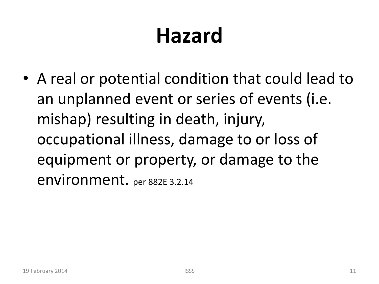#### **Hazard**

• A real or potential condition that could lead to an unplanned event or series of events (i.e. mishap) resulting in death, injury, occupational illness, damage to or loss of equipment or property, or damage to the environment. per 882E 3.2.14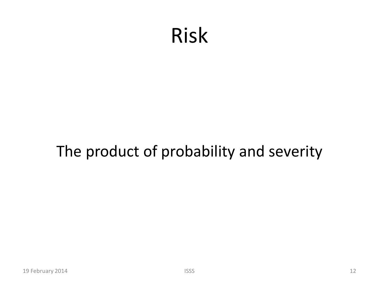#### Risk

#### The product of probability and severity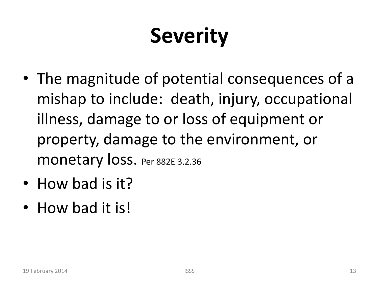#### **Severity**

- The magnitude of potential consequences of a mishap to include: death, injury, occupational illness, damage to or loss of equipment or property, damage to the environment, or monetary loss. Per 882E 3.2.36
- How bad is it?
- How bad it is!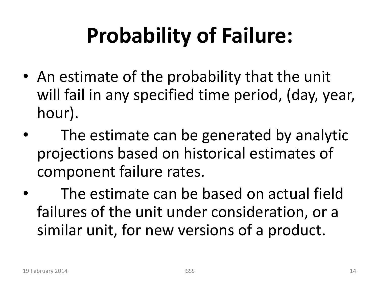#### **Probability of Failure:**

- An estimate of the probability that the unit will fail in any specified time period, (day, year, hour).
- The estimate can be generated by analytic projections based on historical estimates of component failure rates.
- The estimate can be based on actual field failures of the unit under consideration, or a similar unit, for new versions of a product.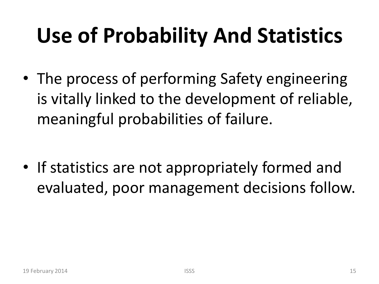#### **Use of Probability And Statistics**

• The process of performing Safety engineering is vitally linked to the development of reliable, meaningful probabilities of failure.

• If statistics are not appropriately formed and evaluated, poor management decisions follow.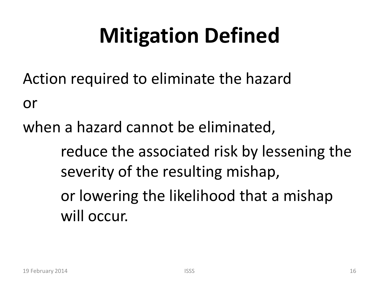#### **Mitigation Defined**

Action required to eliminate the hazard

or

when a hazard cannot be eliminated,

reduce the associated risk by lessening the severity of the resulting mishap,

or lowering the likelihood that a mishap will occur.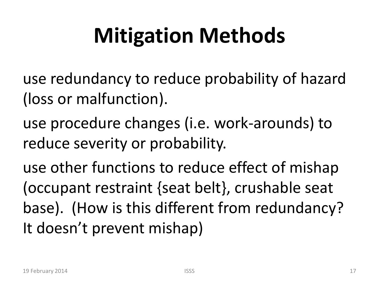#### **Mitigation Methods**

- use redundancy to reduce probability of hazard (loss or malfunction).
- use procedure changes (i.e. work-arounds) to reduce severity or probability.

use other functions to reduce effect of mishap (occupant restraint {seat belt}, crushable seat base). (How is this different from redundancy? It doesn't prevent mishap)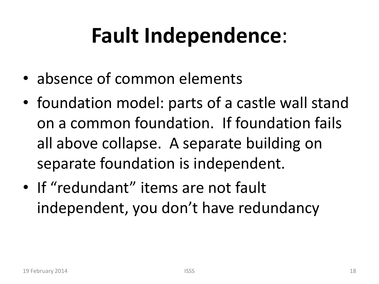#### **Fault Independence**:

- absence of common elements
- foundation model: parts of a castle wall stand on a common foundation. If foundation fails all above collapse. A separate building on separate foundation is independent.
- If "redundant" items are not fault independent, you don't have redundancy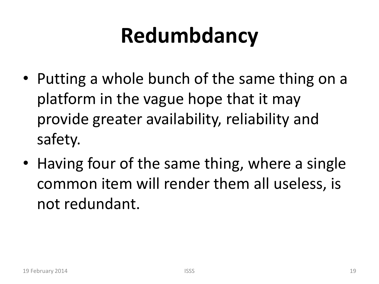#### **Redumbdancy**

- Putting a whole bunch of the same thing on a platform in the vague hope that it may provide greater availability, reliability and safety.
- Having four of the same thing, where a single common item will render them all useless, is not redundant.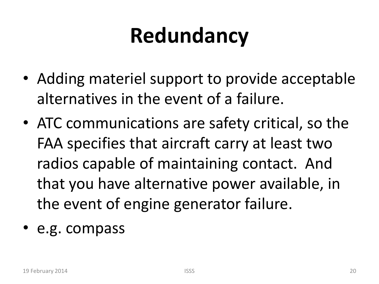#### **Redundancy**

- Adding materiel support to provide acceptable alternatives in the event of a failure.
- ATC communications are safety critical, so the FAA specifies that aircraft carry at least two radios capable of maintaining contact. And that you have alternative power available, in the event of engine generator failure.
- e.g. compass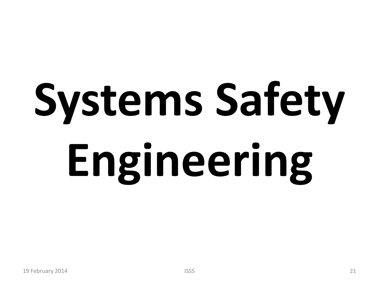# **Systems Safety Engineering**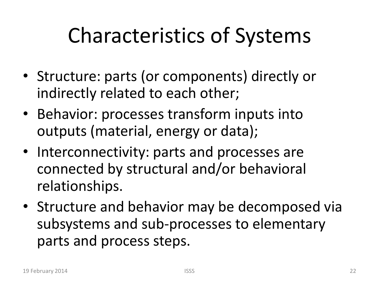#### Characteristics of Systems

- Structure: parts (or components) directly or indirectly related to each other;
- Behavior: processes transform inputs into outputs (material, energy or data);
- Interconnectivity: parts and processes are connected by structural and/or behavioral relationships.
- Structure and behavior may be decomposed via subsystems and sub-processes to elementary parts and process steps.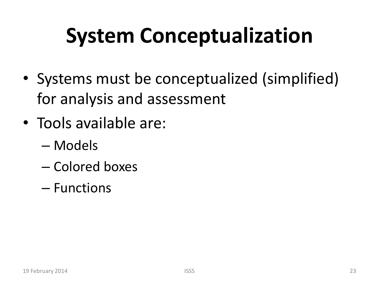#### **System Conceptualization**

- Systems must be conceptualized (simplified) for analysis and assessment
- Tools available are:
	- Models
	- Colored boxes
	- Functions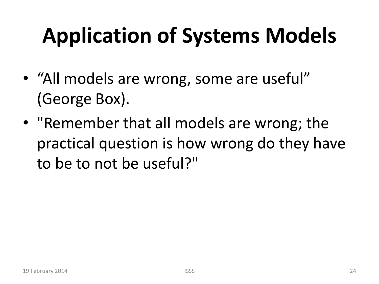#### **Application of Systems Models**

- "All models are wrong, some are useful" (George Box).
- "Remember that all models are wrong; the practical question is how wrong do they have to be to not be useful?"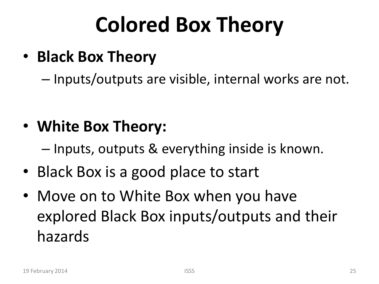#### **Colored Box Theory**

• **Black Box Theory**

– Inputs/outputs are visible, internal works are not.

• **White Box Theory:**

– Inputs, outputs & everything inside is known.

- Black Box is a good place to start
- Move on to White Box when you have explored Black Box inputs/outputs and their hazards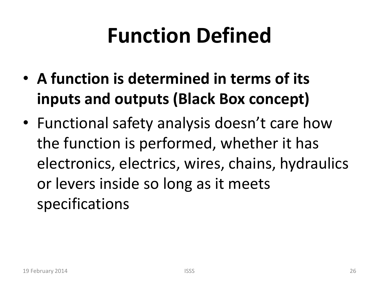#### **Function Defined**

- **A function is determined in terms of its inputs and outputs (Black Box concept)**
- Functional safety analysis doesn't care how the function is performed, whether it has electronics, electrics, wires, chains, hydraulics or levers inside so long as it meets specifications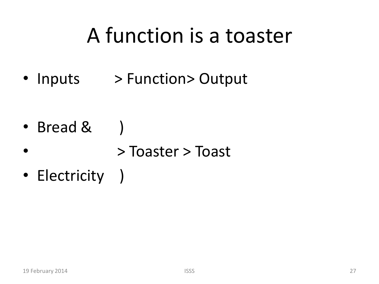#### A function is a toaster

• Inputs > Function> Output

- Bread &
- > Toaster > Toast
- Electricity )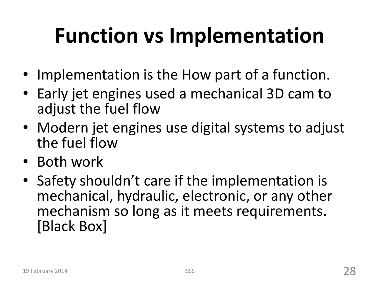#### **Function vs Implementation**

- Implementation is the How part of a function.
- Early jet engines used a mechanical 3D cam to adjust the fuel flow
- Modern jet engines use digital systems to adjust the fuel flow
- Both work
- Safety shouldn't care if the implementation is mechanical, hydraulic, electronic, or any other mechanism so long as it meets requirements. [Black Box]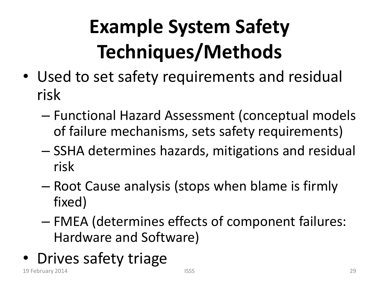#### **Example System Safety Techniques/Methods**

- Used to set safety requirements and residual risk
	- Functional Hazard Assessment (conceptual models of failure mechanisms, sets safety requirements)
	- SSHA determines hazards, mitigations and residual risk
	- Root Cause analysis (stops when blame is firmly fixed)
	- FMEA (determines effects of component failures: Hardware and Software)
- Drives safety triage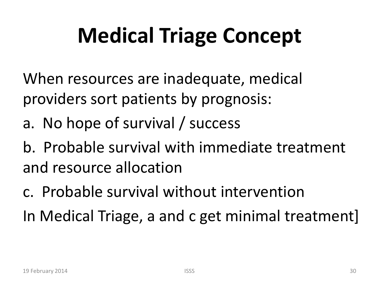#### **Medical Triage Concept**

When resources are inadequate, medical providers sort patients by prognosis:

a. No hope of survival / success

b. Probable survival with immediate treatment and resource allocation

c. Probable survival without intervention In Medical Triage, a and c get minimal treatment]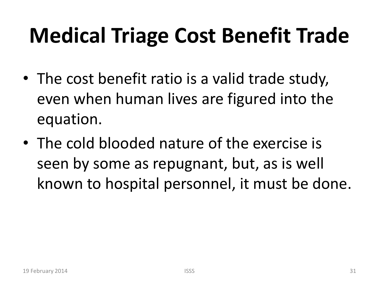#### **Medical Triage Cost Benefit Trade**

- The cost benefit ratio is a valid trade study, even when human lives are figured into the equation.
- The cold blooded nature of the exercise is seen by some as repugnant, but, as is well known to hospital personnel, it must be done.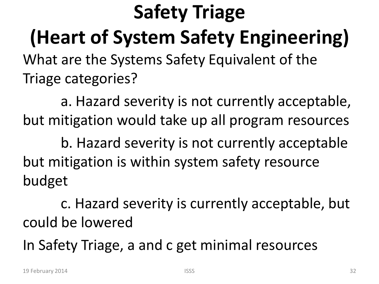**Safety Triage (Heart of System Safety Engineering)** What are the Systems Safety Equivalent of the Triage categories?

a. Hazard severity is not currently acceptable, but mitigation would take up all program resources

b. Hazard severity is not currently acceptable but mitigation is within system safety resource budget

c. Hazard severity is currently acceptable, but could be lowered

In Safety Triage, a and c get minimal resources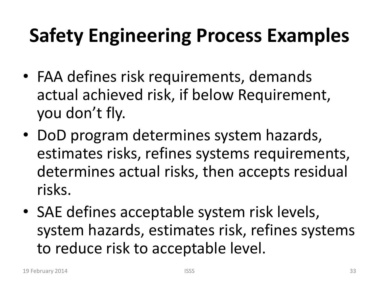#### **Safety Engineering Process Examples**

- FAA defines risk requirements, demands actual achieved risk, if below Requirement, you don't fly.
- DoD program determines system hazards, estimates risks, refines systems requirements, determines actual risks, then accepts residual risks.
- SAE defines acceptable system risk levels, system hazards, estimates risk, refines systems to reduce risk to acceptable level.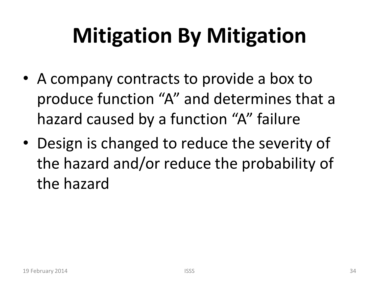#### **Mitigation By Mitigation**

- A company contracts to provide a box to produce function "A" and determines that a hazard caused by a function "A" failure
- Design is changed to reduce the severity of the hazard and/or reduce the probability of the hazard